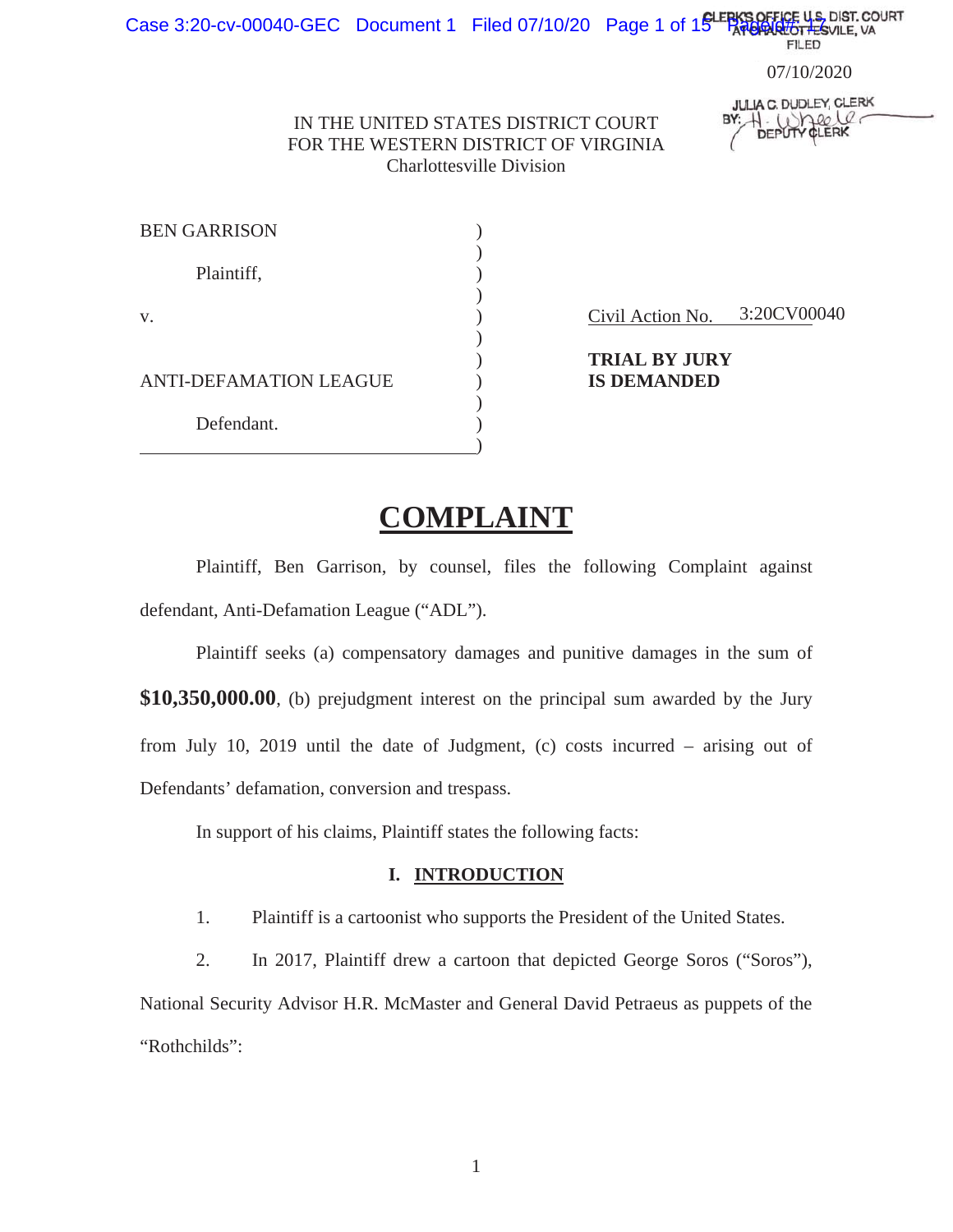# Case 3:20-cv-00040-GEC Document 1 Filed 07/10/20 Page 1 of 15 Page Price U.S. DIST. COURT<br>FILED

07/13/2020 07/10/2020

**JULIA C. DUDLEY, CLERK**  $1.0$ meele

IN THE UNITED STATES DISTRICT COURT FOR THE WESTERN DISTRICT OF VIRGINIA Charlottesville Division

| <b>BEN GARRISON</b>           |  |
|-------------------------------|--|
| Plaintiff,                    |  |
| V.                            |  |
| <b>ANTI-DEFAMATION LEAGUE</b> |  |
| Defendant.                    |  |

Civil Action No. 3:20CV00040

 ) **TRIAL BY JURY**  ANTI-DEFAMATION LEAGUE ) **IS DEMANDED**

## **COMPLAINT**

 Plaintiff, Ben Garrison, by counsel, files the following Complaint against defendant, Anti-Defamation League ("ADL").

 Plaintiff seeks (a) compensatory damages and punitive damages in the sum of **\$10,350,000.00**, (b) prejudgment interest on the principal sum awarded by the Jury from July 10, 2019 until the date of Judgment, (c) costs incurred – arising out of Defendants' defamation, conversion and trespass.

In support of his claims, Plaintiff states the following facts:

#### **I. INTRODUCTION**

1. Plaintiff is a cartoonist who supports the President of the United States.

2. In 2017, Plaintiff drew a cartoon that depicted George Soros ("Soros"),

National Security Advisor H.R. McMaster and General David Petraeus as puppets of the "Rothchilds":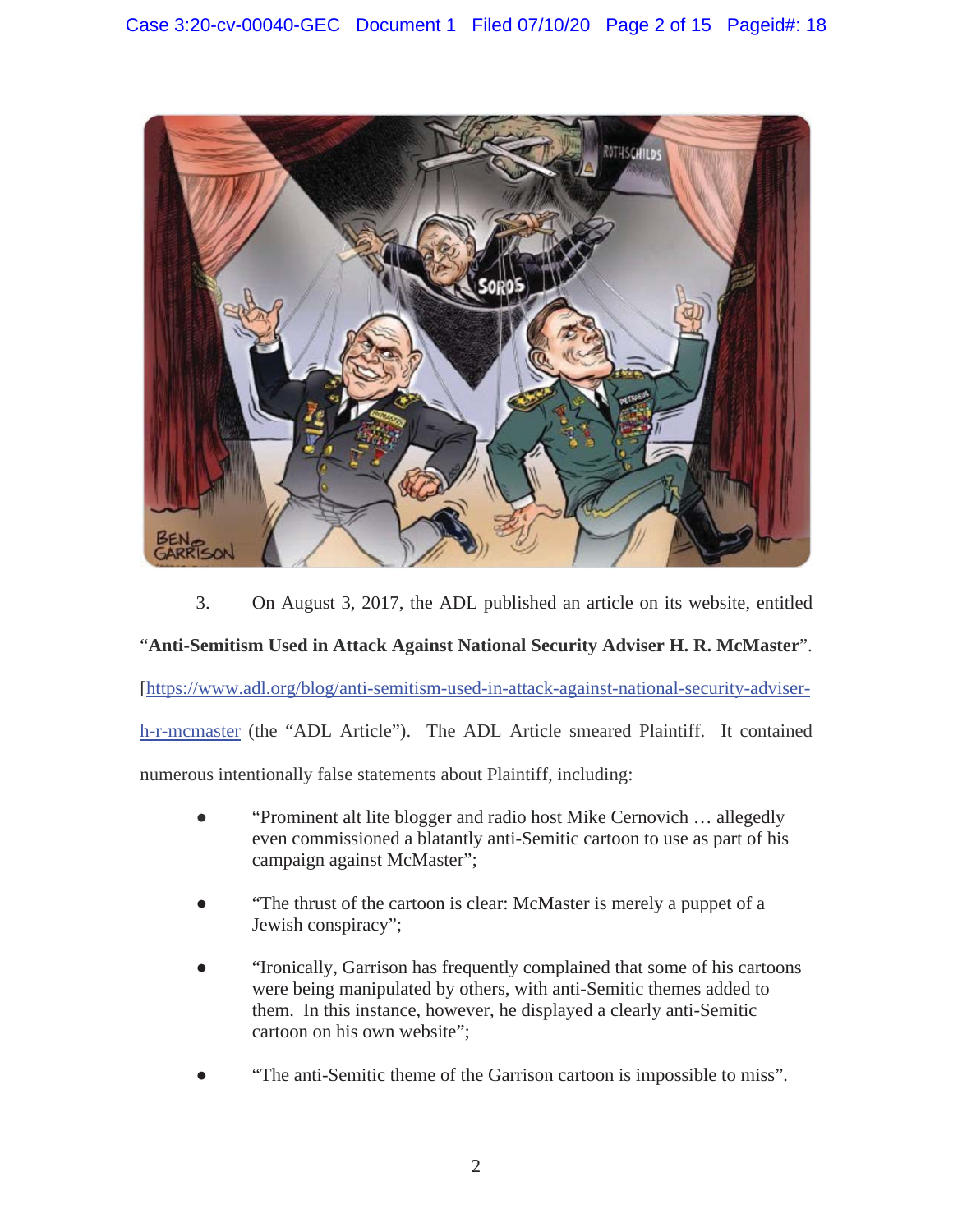

3. On August 3, 2017, the ADL published an article on its website, entitled

### "**Anti-Semitism Used in Attack Against National Security Adviser H. R. McMaster**".

[https://www.adl.org/blog/anti-semitism-used-in-attack-against-national-security-adviser-

h-r-mcmaster (the "ADL Article"). The ADL Article smeared Plaintiff. It contained

numerous intentionally false statements about Plaintiff, including:

- Ɣ "Prominent alt lite blogger and radio host Mike Cernovich … allegedly even commissioned a blatantly anti-Semitic cartoon to use as part of his campaign against McMaster";
- Ɣ "The thrust of the cartoon is clear: McMaster is merely a puppet of a Jewish conspiracy";
- Ɣ "Ironically, Garrison has frequently complained that some of his cartoons were being manipulated by others, with anti-Semitic themes added to them. In this instance, however, he displayed a clearly anti-Semitic cartoon on his own website";
- Ɣ "The anti-Semitic theme of the Garrison cartoon is impossible to miss".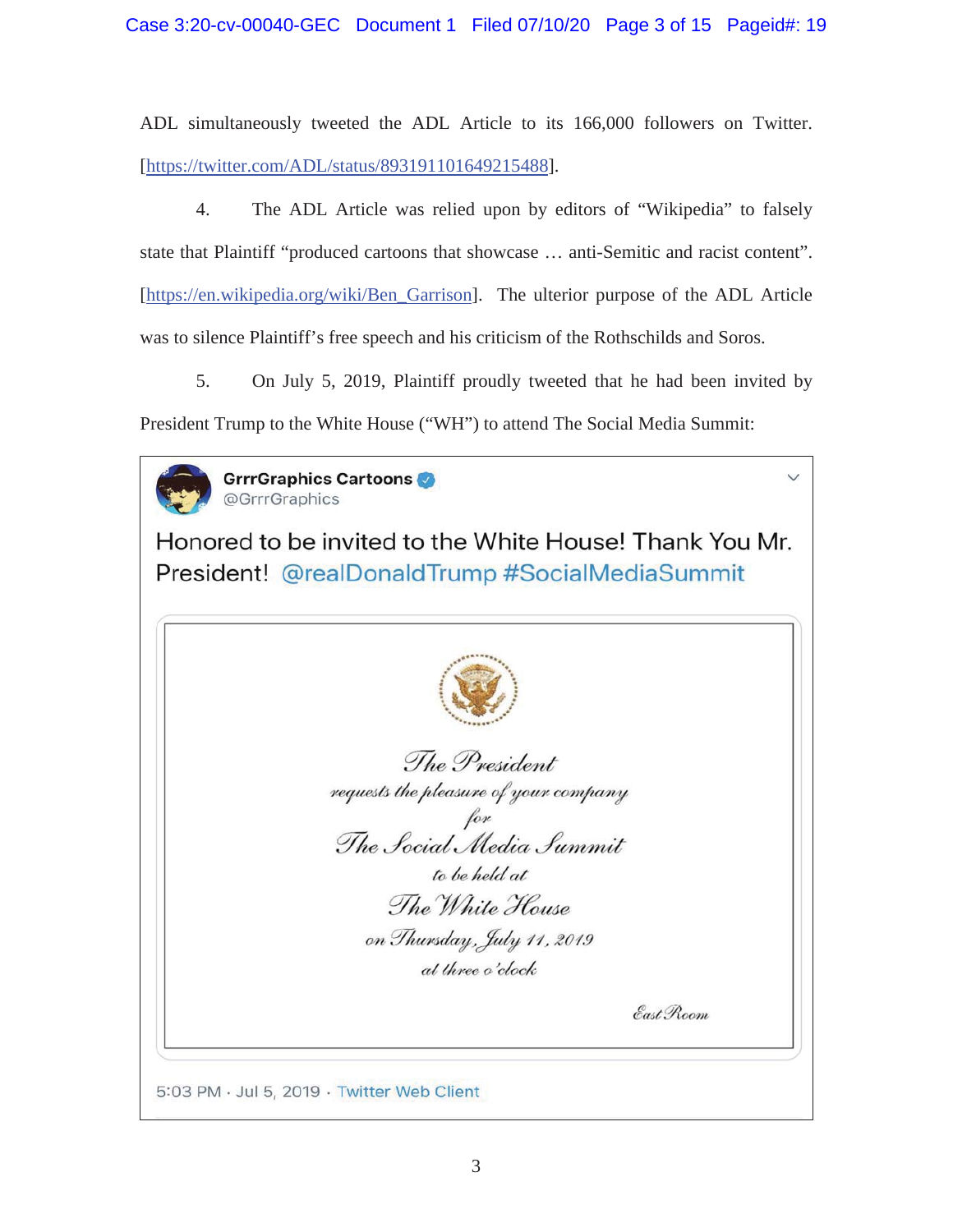ADL simultaneously tweeted the ADL Article to its 166,000 followers on Twitter. [https://twitter.com/ADL/status/893191101649215488].

 4. The ADL Article was relied upon by editors of "Wikipedia" to falsely state that Plaintiff "produced cartoons that showcase … anti-Semitic and racist content". [https://en.wikipedia.org/wiki/Ben\_Garrison]. The ulterior purpose of the ADL Article was to silence Plaintiff's free speech and his criticism of the Rothschilds and Soros.

 5. On July 5, 2019, Plaintiff proudly tweeted that he had been invited by President Trump to the White House ("WH") to attend The Social Media Summit:



GrrrGraphics Cartoons @GrrrGraphics

Honored to be invited to the White House! Thank You Mr. President! @realDonaldTrump #SocialMediaSummit

| The President                                   |
|-------------------------------------------------|
| requests the pleasure of your company           |
| for<br>The Social Media Summit<br>to be held at |
| The White House                                 |
| on Thursday, July 11, 2019                      |
| at three o'clock                                |
| East Room                                       |
|                                                 |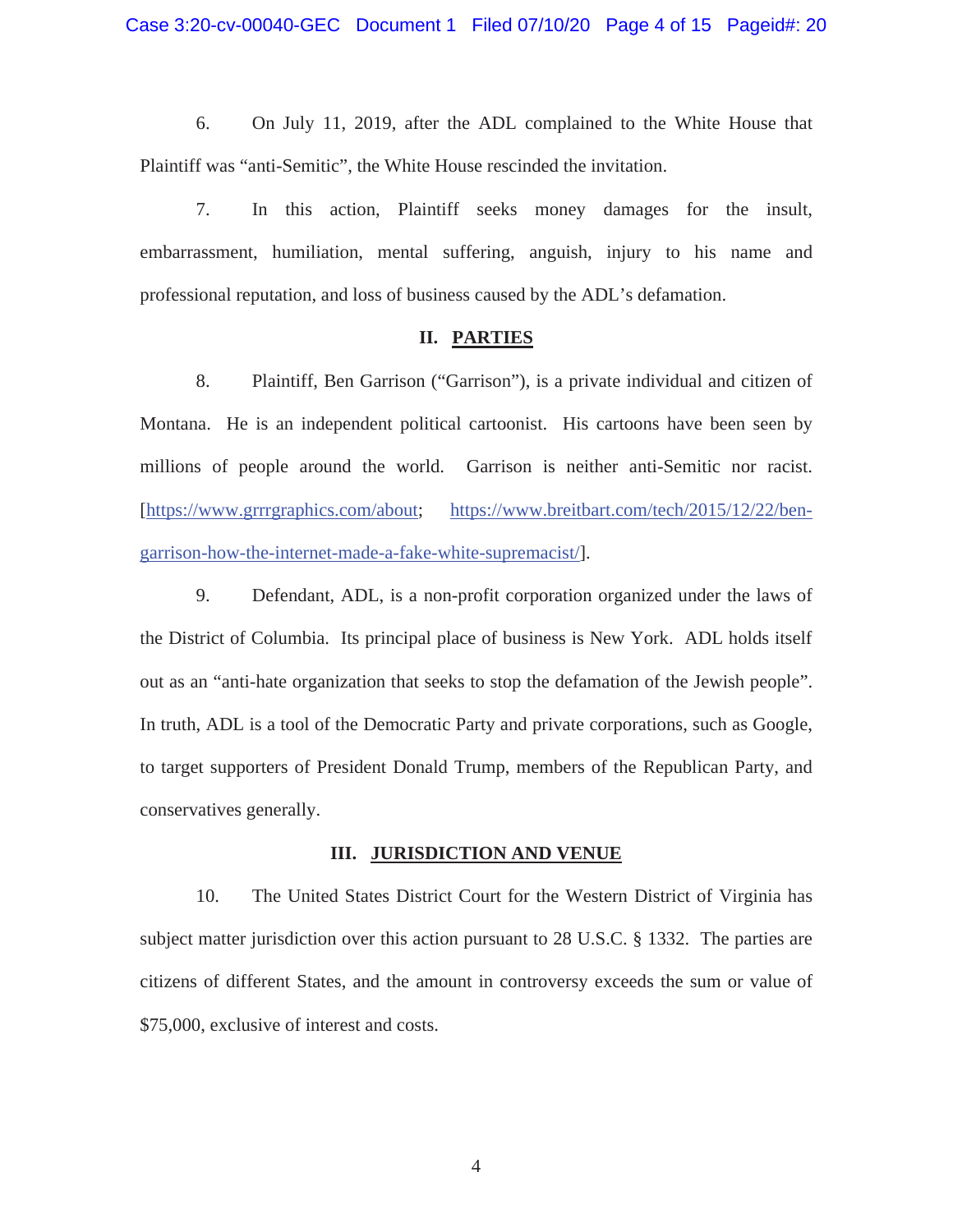6. On July 11, 2019, after the ADL complained to the White House that Plaintiff was "anti-Semitic", the White House rescinded the invitation.

 7. In this action, Plaintiff seeks money damages for the insult, embarrassment, humiliation, mental suffering, anguish, injury to his name and professional reputation, and loss of business caused by the ADL's defamation.

#### **II. PARTIES**

 8. Plaintiff, Ben Garrison ("Garrison"), is a private individual and citizen of Montana. He is an independent political cartoonist. His cartoons have been seen by millions of people around the world. Garrison is neither anti-Semitic nor racist. [https://www.grrrgraphics.com/about; https://www.breitbart.com/tech/2015/12/22/bengarrison-how-the-internet-made-a-fake-white-supremacist/].

 9. Defendant, ADL, is a non-profit corporation organized under the laws of the District of Columbia. Its principal place of business is New York. ADL holds itself out as an "anti-hate organization that seeks to stop the defamation of the Jewish people". In truth, ADL is a tool of the Democratic Party and private corporations, such as Google, to target supporters of President Donald Trump, members of the Republican Party, and conservatives generally.

#### **III. JURISDICTION AND VENUE**

 10. The United States District Court for the Western District of Virginia has subject matter jurisdiction over this action pursuant to 28 U.S.C. § 1332. The parties are citizens of different States, and the amount in controversy exceeds the sum or value of \$75,000, exclusive of interest and costs.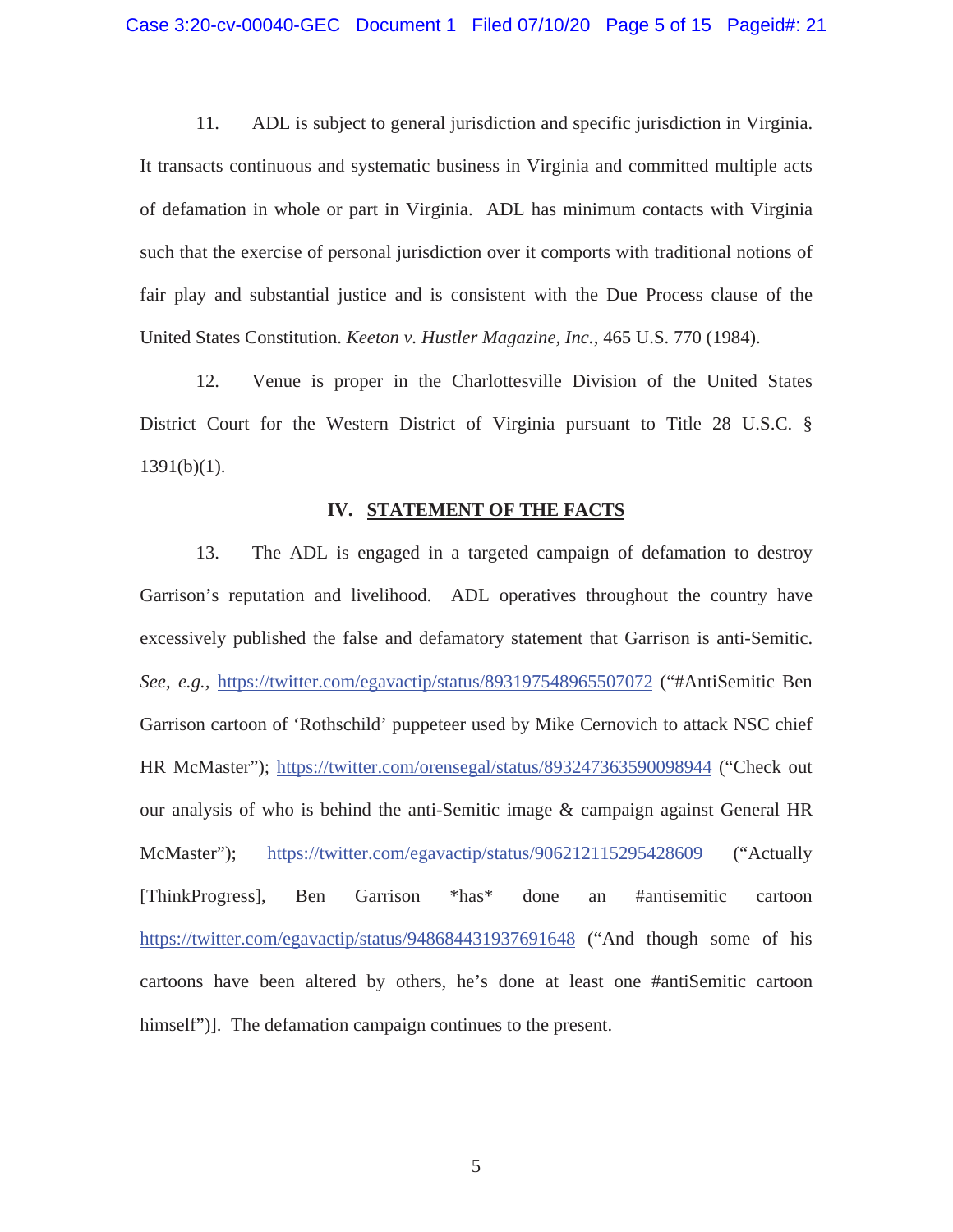11. ADL is subject to general jurisdiction and specific jurisdiction in Virginia. It transacts continuous and systematic business in Virginia and committed multiple acts of defamation in whole or part in Virginia. ADL has minimum contacts with Virginia such that the exercise of personal jurisdiction over it comports with traditional notions of fair play and substantial justice and is consistent with the Due Process clause of the United States Constitution. *Keeton v. Hustler Magazine, Inc.*, 465 U.S. 770 (1984).

12. Venue is proper in the Charlottesville Division of the United States District Court for the Western District of Virginia pursuant to Title 28 U.S.C. §  $1391(b)(1)$ .

#### **IV. STATEMENT OF THE FACTS**

 13. The ADL is engaged in a targeted campaign of defamation to destroy Garrison's reputation and livelihood. ADL operatives throughout the country have excessively published the false and defamatory statement that Garrison is anti-Semitic. *See, e.g.,* https://twitter.com/egavactip/status/893197548965507072 ("#AntiSemitic Ben Garrison cartoon of 'Rothschild' puppeteer used by Mike Cernovich to attack NSC chief HR McMaster"); https://twitter.com/orensegal/status/893247363590098944 ("Check out our analysis of who is behind the anti-Semitic image & campaign against General HR McMaster"); https://twitter.com/egavactip/status/906212115295428609 ("Actually [ThinkProgress], Ben Garrison \*has\* done an #antisemitic cartoon https://twitter.com/egavactip/status/948684431937691648 ("And though some of his cartoons have been altered by others, he's done at least one #antiSemitic cartoon himself")]. The defamation campaign continues to the present.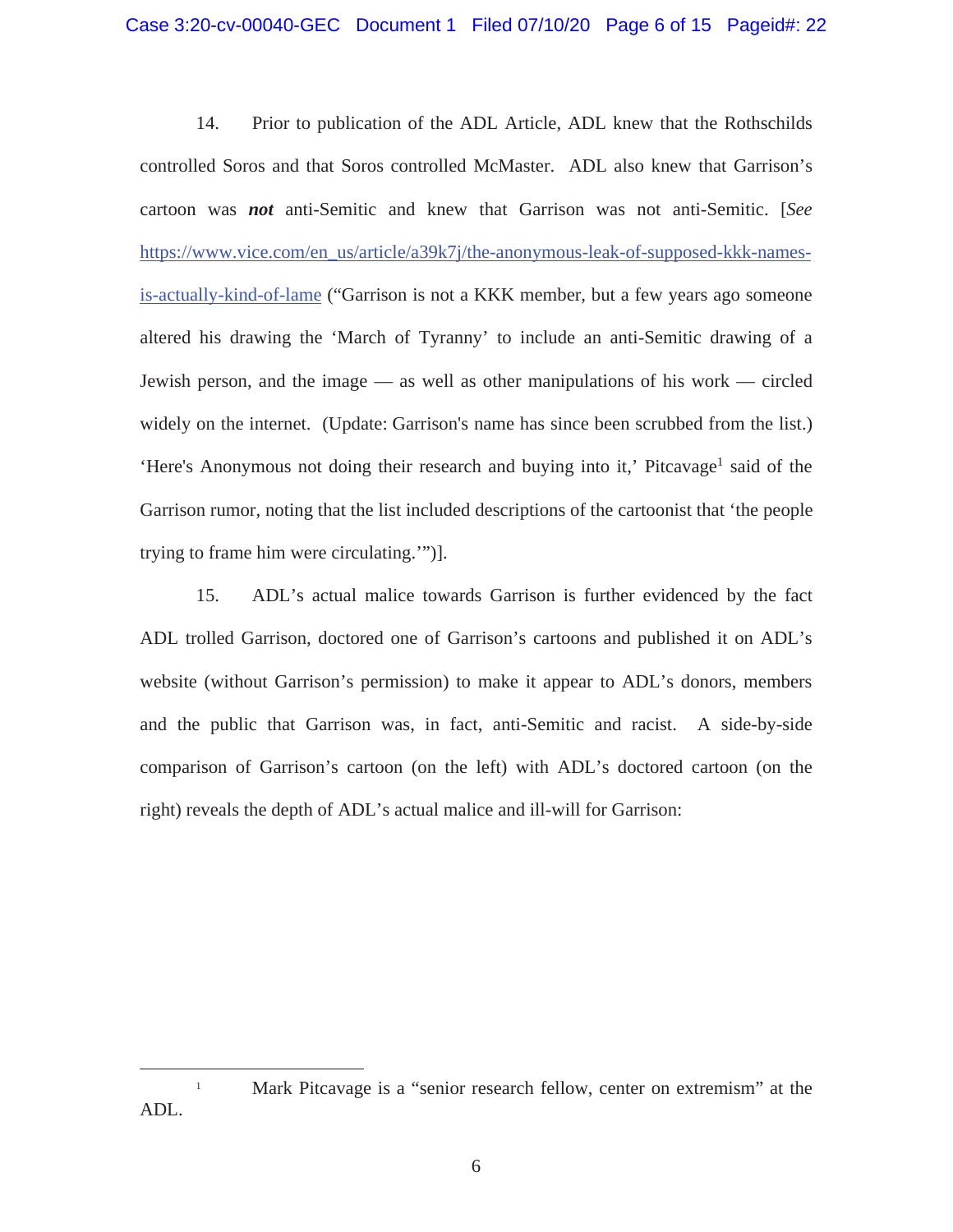14. Prior to publication of the ADL Article, ADL knew that the Rothschilds controlled Soros and that Soros controlled McMaster. ADL also knew that Garrison's cartoon was *not* anti-Semitic and knew that Garrison was not anti-Semitic. [*See* https://www.vice.com/en\_us/article/a39k7j/the-anonymous-leak-of-supposed-kkk-namesis-actually-kind-of-lame ("Garrison is not a KKK member, but a few years ago someone altered his drawing the 'March of Tyranny' to include an anti-Semitic drawing of a Jewish person, and the image — as well as other manipulations of his work — circled widely on the internet. (Update: Garrison's name has since been scrubbed from the list.) 'Here's Anonymous not doing their research and buying into it,' Pitcavage<sup>1</sup> said of the Garrison rumor, noting that the list included descriptions of the cartoonist that 'the people trying to frame him were circulating.'")].

 15. ADL's actual malice towards Garrison is further evidenced by the fact ADL trolled Garrison, doctored one of Garrison's cartoons and published it on ADL's website (without Garrison's permission) to make it appear to ADL's donors, members and the public that Garrison was, in fact, anti-Semitic and racist. A side-by-side comparison of Garrison's cartoon (on the left) with ADL's doctored cartoon (on the right) reveals the depth of ADL's actual malice and ill-will for Garrison:

<sup>&</sup>lt;sup>1</sup> Mark Pitcavage is a "senior research fellow, center on extremism" at the ADL.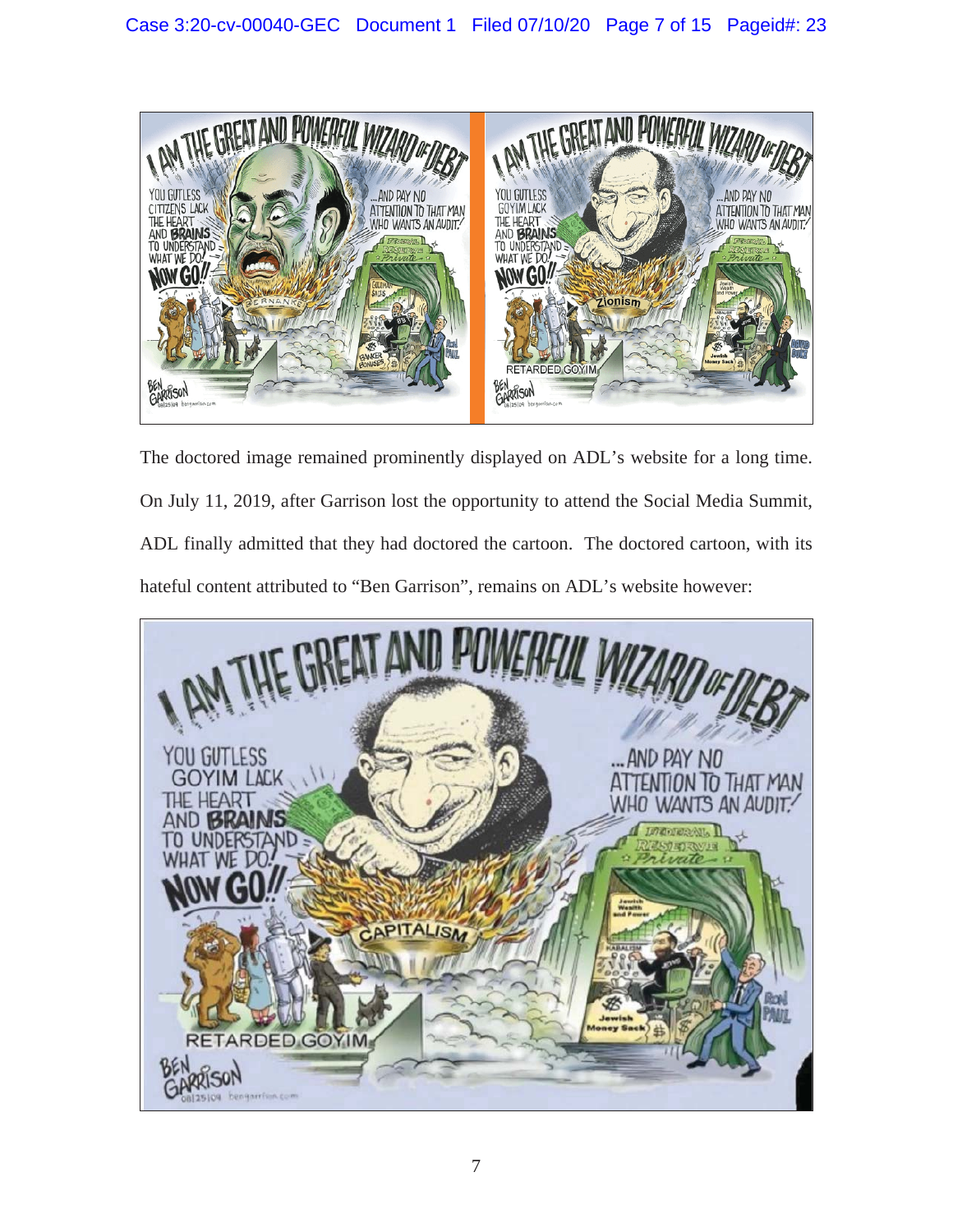

The doctored image remained prominently displayed on ADL's website for a long time. On July 11, 2019, after Garrison lost the opportunity to attend the Social Media Summit, ADL finally admitted that they had doctored the cartoon. The doctored cartoon, with its hateful content attributed to "Ben Garrison", remains on ADL's website however:

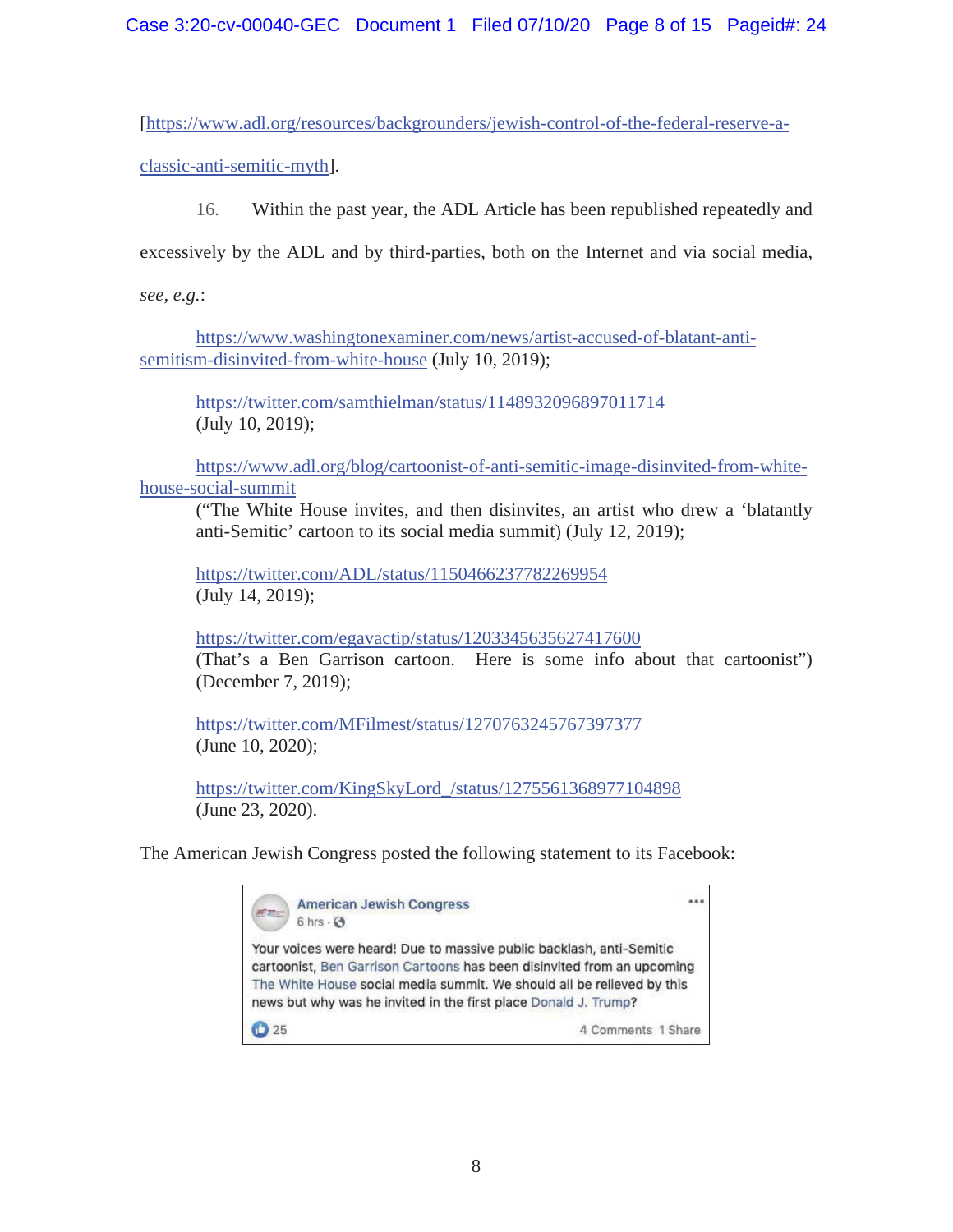[https://www.adl.org/resources/backgrounders/jewish-control-of-the-federal-reserve-a-

classic-anti-semitic-myth].

16. Within the past year, the ADL Article has been republished repeatedly and

excessively by the ADL and by third-parties, both on the Internet and via social media,

*see, e.g.*:

https://www.washingtonexaminer.com/news/artist-accused-of-blatant-antisemitism-disinvited-from-white-house (July 10, 2019);

https://twitter.com/samthielman/status/1148932096897011714 (July 10, 2019);

https://www.adl.org/blog/cartoonist-of-anti-semitic-image-disinvited-from-whitehouse-social-summit

 ("The White House invites, and then disinvites, an artist who drew a 'blatantly anti-Semitic' cartoon to its social media summit) (July 12, 2019);

https://twitter.com/ADL/status/1150466237782269954 (July 14, 2019);

https://twitter.com/egavactip/status/1203345635627417600 (That's a Ben Garrison cartoon. Here is some info about that cartoonist") (December 7, 2019);

https://twitter.com/MFilmest/status/1270763245767397377 (June 10, 2020);

https://twitter.com/KingSkyLord\_/status/1275561368977104898 (June 23, 2020).

The American Jewish Congress posted the following statement to its Facebook:

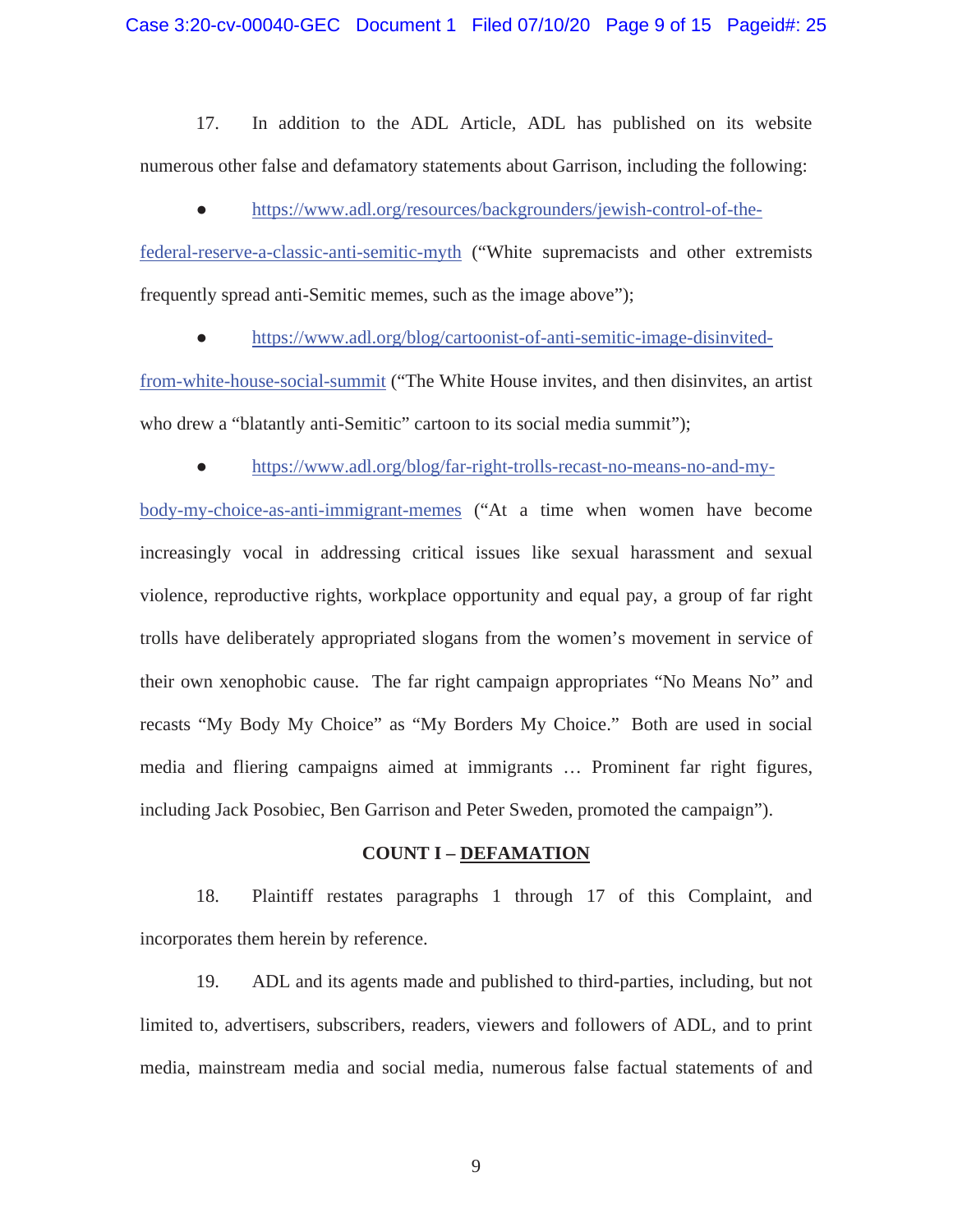17. In addition to the ADL Article, ADL has published on its website numerous other false and defamatory statements about Garrison, including the following:

• https://www.adl.org/resources/backgrounders/jewish-control-of-the-

federal-reserve-a-classic-anti-semitic-myth ("White supremacists and other extremists frequently spread anti-Semitic memes, such as the image above");

• https://www.adl.org/blog/cartoonist-of-anti-semitic-image-disinvited-

from-white-house-social-summit ("The White House invites, and then disinvites, an artist who drew a "blatantly anti-Semitic" cartoon to its social media summit");

Ɣ https://www.adl.org/blog/far-right-trolls-recast-no-means-no-and-my-

body-my-choice-as-anti-immigrant-memes ("At a time when women have become increasingly vocal in addressing critical issues like sexual harassment and sexual violence, reproductive rights, workplace opportunity and equal pay, a group of far right trolls have deliberately appropriated slogans from the women's movement in service of their own xenophobic cause. The far right campaign appropriates "No Means No" and recasts "My Body My Choice" as "My Borders My Choice." Both are used in social media and fliering campaigns aimed at immigrants … Prominent far right figures, including Jack Posobiec, Ben Garrison and Peter Sweden, promoted the campaign").

#### **COUNT I – DEFAMATION**

 18. Plaintiff restates paragraphs 1 through 17 of this Complaint, and incorporates them herein by reference.

 19. ADL and its agents made and published to third-parties, including, but not limited to, advertisers, subscribers, readers, viewers and followers of ADL, and to print media, mainstream media and social media, numerous false factual statements of and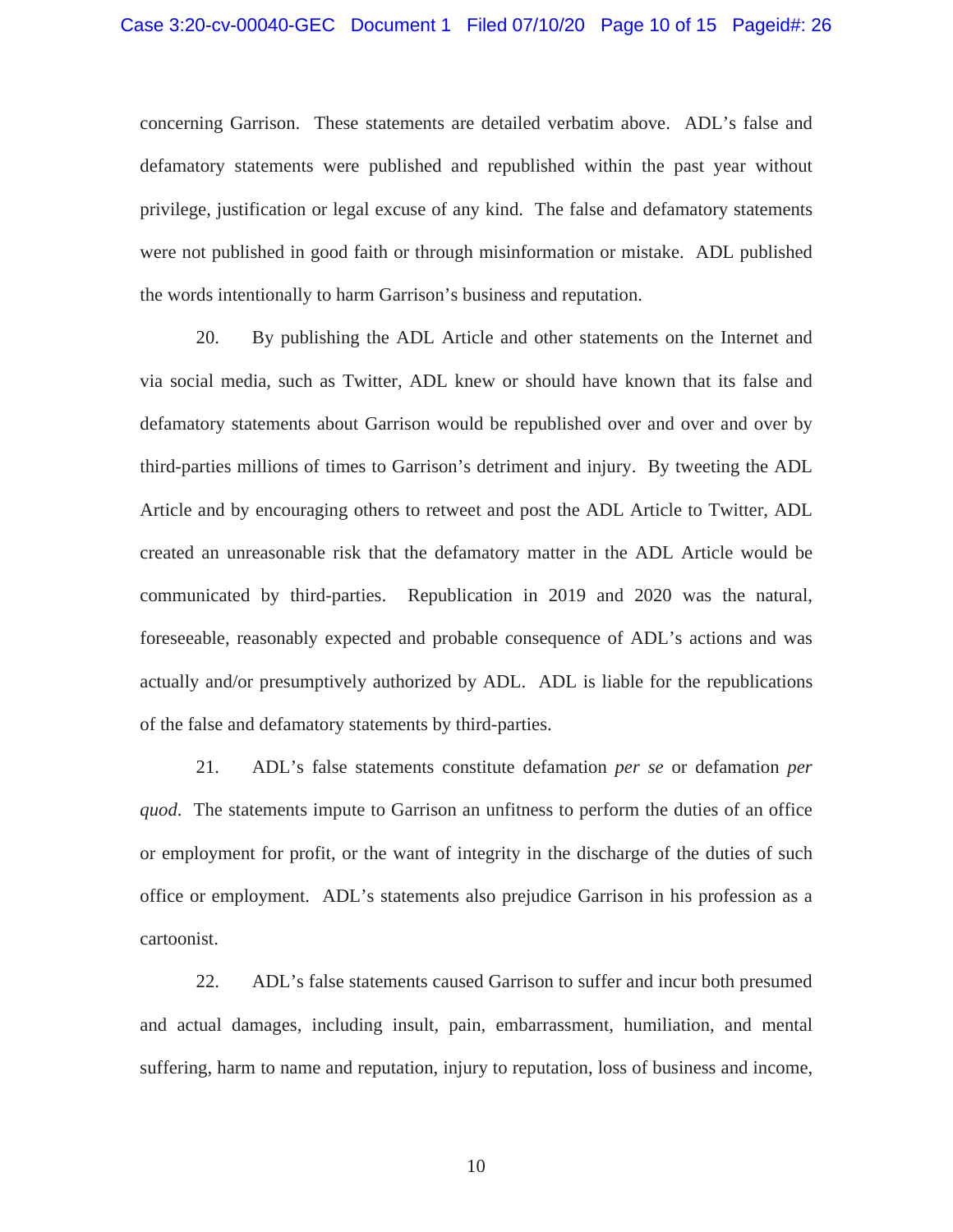concerning Garrison. These statements are detailed verbatim above. ADL's false and defamatory statements were published and republished within the past year without privilege, justification or legal excuse of any kind. The false and defamatory statements were not published in good faith or through misinformation or mistake. ADL published the words intentionally to harm Garrison's business and reputation.

 20. By publishing the ADL Article and other statements on the Internet and via social media, such as Twitter, ADL knew or should have known that its false and defamatory statements about Garrison would be republished over and over and over by third-parties millions of times to Garrison's detriment and injury. By tweeting the ADL Article and by encouraging others to retweet and post the ADL Article to Twitter, ADL created an unreasonable risk that the defamatory matter in the ADL Article would be communicated by third-parties. Republication in 2019 and 2020 was the natural, foreseeable, reasonably expected and probable consequence of ADL's actions and was actually and/or presumptively authorized by ADL. ADL is liable for the republications of the false and defamatory statements by third-parties.

 21. ADL's false statements constitute defamation *per se* or defamation *per quod*. The statements impute to Garrison an unfitness to perform the duties of an office or employment for profit, or the want of integrity in the discharge of the duties of such office or employment. ADL's statements also prejudice Garrison in his profession as a cartoonist.

 22. ADL's false statements caused Garrison to suffer and incur both presumed and actual damages, including insult, pain, embarrassment, humiliation, and mental suffering, harm to name and reputation, injury to reputation, loss of business and income,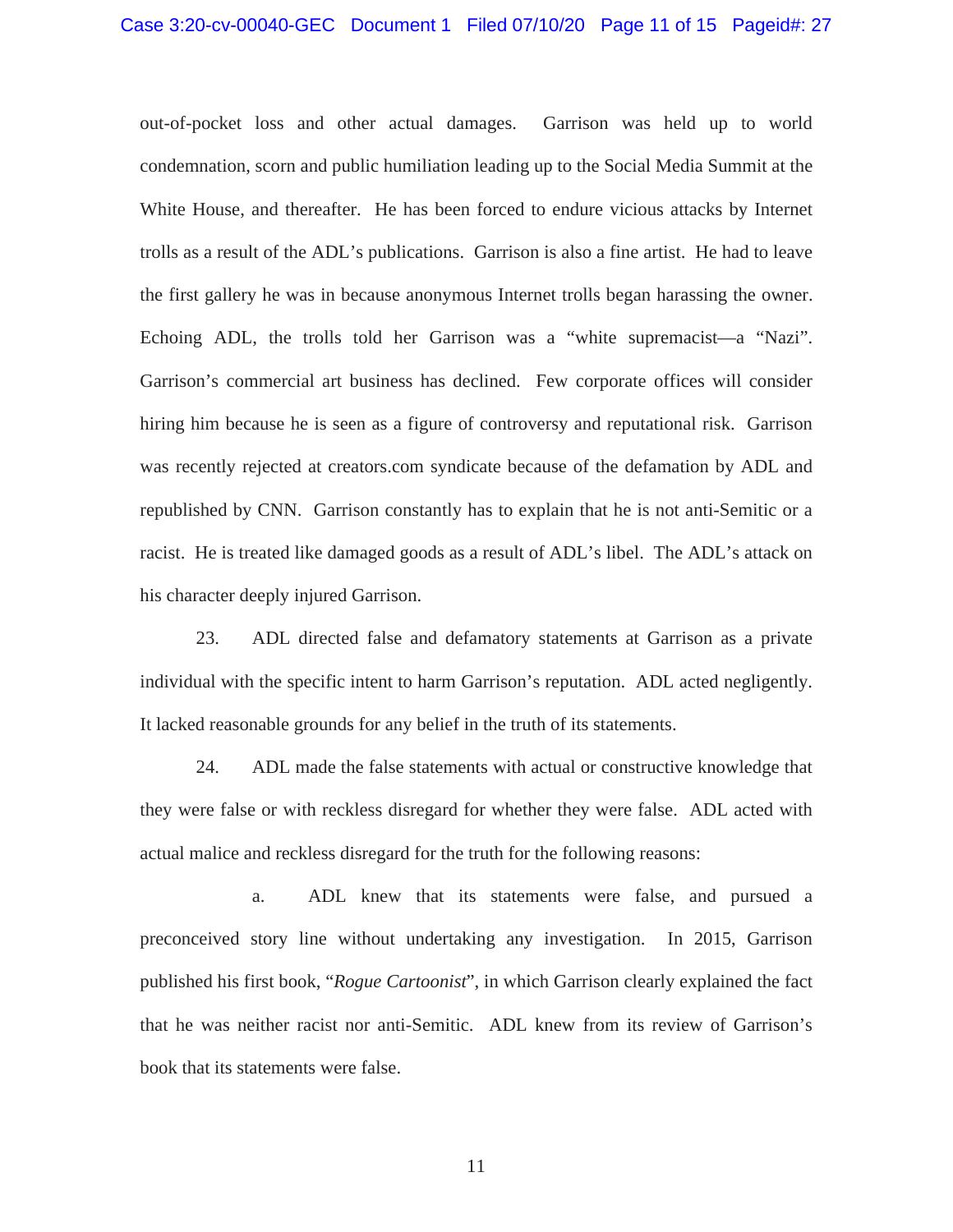out-of-pocket loss and other actual damages. Garrison was held up to world condemnation, scorn and public humiliation leading up to the Social Media Summit at the White House, and thereafter. He has been forced to endure vicious attacks by Internet trolls as a result of the ADL's publications. Garrison is also a fine artist. He had to leave the first gallery he was in because anonymous Internet trolls began harassing the owner. Echoing ADL, the trolls told her Garrison was a "white supremacist—a "Nazi". Garrison's commercial art business has declined. Few corporate offices will consider hiring him because he is seen as a figure of controversy and reputational risk. Garrison was recently rejected at creators.com syndicate because of the defamation by ADL and republished by CNN. Garrison constantly has to explain that he is not anti-Semitic or a racist. He is treated like damaged goods as a result of ADL's libel. The ADL's attack on his character deeply injured Garrison.

 23. ADL directed false and defamatory statements at Garrison as a private individual with the specific intent to harm Garrison's reputation. ADL acted negligently. It lacked reasonable grounds for any belief in the truth of its statements.

 24. ADL made the false statements with actual or constructive knowledge that they were false or with reckless disregard for whether they were false. ADL acted with actual malice and reckless disregard for the truth for the following reasons:

 a. ADL knew that its statements were false, and pursued a preconceived story line without undertaking any investigation. In 2015, Garrison published his first book, "*Rogue Cartoonist*", in which Garrison clearly explained the fact that he was neither racist nor anti-Semitic. ADL knew from its review of Garrison's book that its statements were false.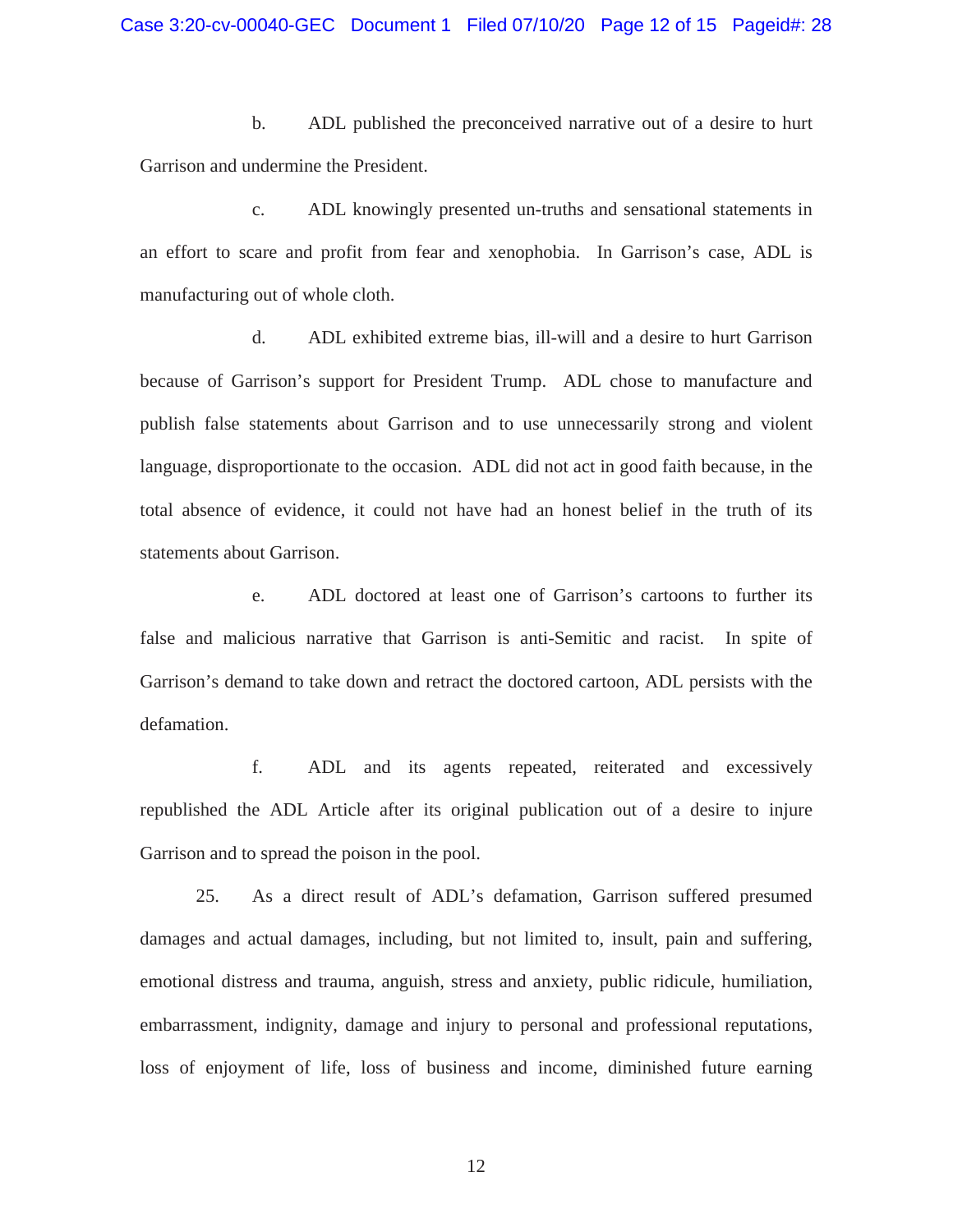b. ADL published the preconceived narrative out of a desire to hurt Garrison and undermine the President.

 c. ADL knowingly presented un-truths and sensational statements in an effort to scare and profit from fear and xenophobia. In Garrison's case, ADL is manufacturing out of whole cloth.

 d. ADL exhibited extreme bias, ill-will and a desire to hurt Garrison because of Garrison's support for President Trump. ADL chose to manufacture and publish false statements about Garrison and to use unnecessarily strong and violent language, disproportionate to the occasion. ADL did not act in good faith because, in the total absence of evidence, it could not have had an honest belief in the truth of its statements about Garrison.

 e. ADL doctored at least one of Garrison's cartoons to further its false and malicious narrative that Garrison is anti-Semitic and racist. In spite of Garrison's demand to take down and retract the doctored cartoon, ADL persists with the defamation.

 f. ADL and its agents repeated, reiterated and excessively republished the ADL Article after its original publication out of a desire to injure Garrison and to spread the poison in the pool.

 25. As a direct result of ADL's defamation, Garrison suffered presumed damages and actual damages, including, but not limited to, insult, pain and suffering, emotional distress and trauma, anguish, stress and anxiety, public ridicule, humiliation, embarrassment, indignity, damage and injury to personal and professional reputations, loss of enjoyment of life, loss of business and income, diminished future earning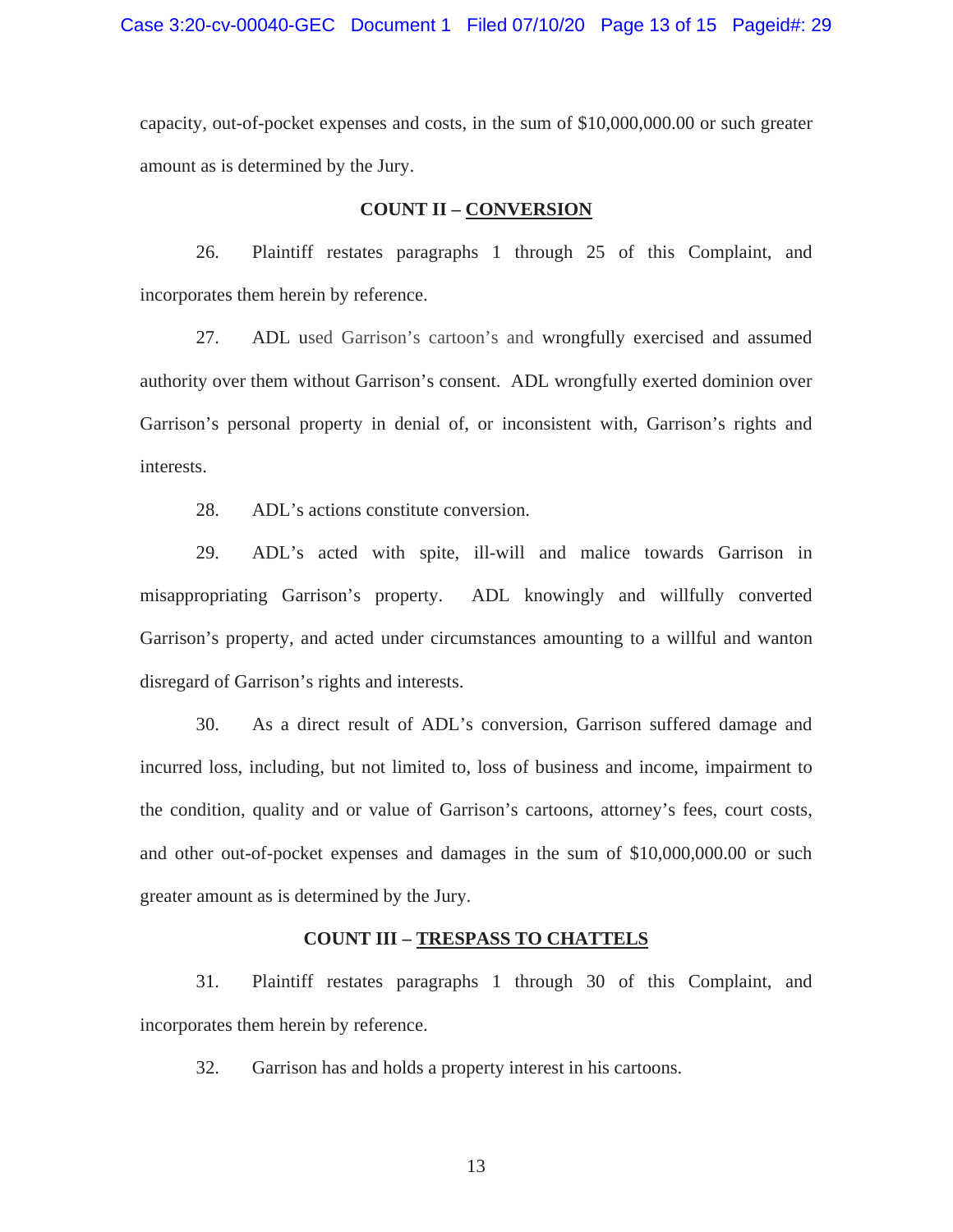Case 3:20-cv-00040-GEC Document 1 Filed 07/10/20 Page 13 of 15 Pageid#: 29

capacity, out-of-pocket expenses and costs, in the sum of \$10,000,000.00 or such greater amount as is determined by the Jury.

#### **COUNT II – CONVERSION**

 26. Plaintiff restates paragraphs 1 through 25 of this Complaint, and incorporates them herein by reference.

 27. ADL used Garrison's cartoon's and wrongfully exercised and assumed authority over them without Garrison's consent. ADL wrongfully exerted dominion over Garrison's personal property in denial of, or inconsistent with, Garrison's rights and interests.

28. ADL's actions constitute conversion.

 29. ADL's acted with spite, ill-will and malice towards Garrison in misappropriating Garrison's property. ADL knowingly and willfully converted Garrison's property, and acted under circumstances amounting to a willful and wanton disregard of Garrison's rights and interests.

 30. As a direct result of ADL's conversion, Garrison suffered damage and incurred loss, including, but not limited to, loss of business and income, impairment to the condition, quality and or value of Garrison's cartoons, attorney's fees, court costs, and other out-of-pocket expenses and damages in the sum of \$10,000,000.00 or such greater amount as is determined by the Jury.

#### **COUNT III – TRESPASS TO CHATTELS**

 31. Plaintiff restates paragraphs 1 through 30 of this Complaint, and incorporates them herein by reference.

32. Garrison has and holds a property interest in his cartoons.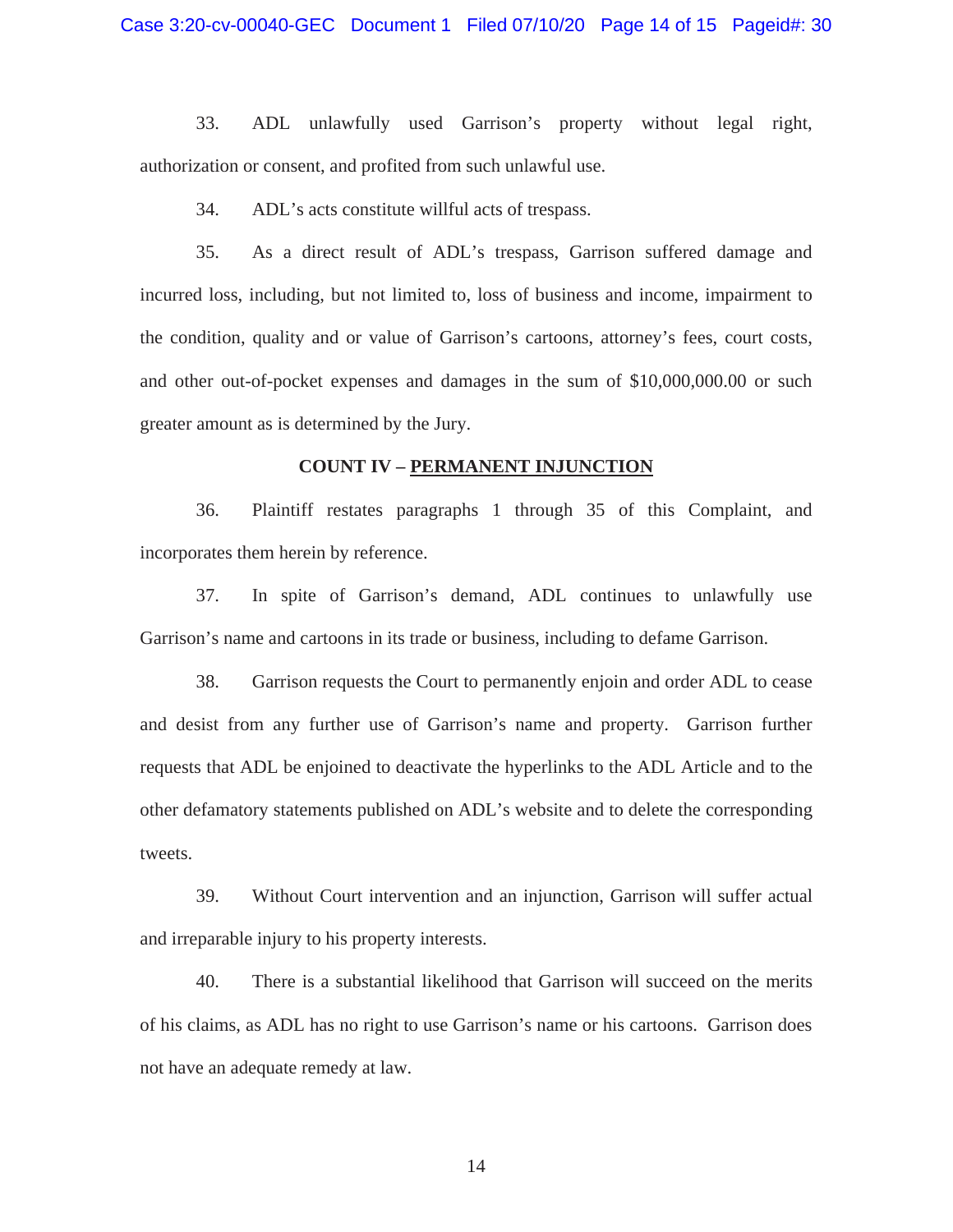33. ADL unlawfully used Garrison's property without legal right, authorization or consent, and profited from such unlawful use.

34. ADL's acts constitute willful acts of trespass.

 35. As a direct result of ADL's trespass, Garrison suffered damage and incurred loss, including, but not limited to, loss of business and income, impairment to the condition, quality and or value of Garrison's cartoons, attorney's fees, court costs, and other out-of-pocket expenses and damages in the sum of \$10,000,000.00 or such greater amount as is determined by the Jury.

#### **COUNT IV – PERMANENT INJUNCTION**

 36. Plaintiff restates paragraphs 1 through 35 of this Complaint, and incorporates them herein by reference.

 37. In spite of Garrison's demand, ADL continues to unlawfully use Garrison's name and cartoons in its trade or business, including to defame Garrison.

 38. Garrison requests the Court to permanently enjoin and order ADL to cease and desist from any further use of Garrison's name and property. Garrison further requests that ADL be enjoined to deactivate the hyperlinks to the ADL Article and to the other defamatory statements published on ADL's website and to delete the corresponding tweets.

 39. Without Court intervention and an injunction, Garrison will suffer actual and irreparable injury to his property interests.

 40. There is a substantial likelihood that Garrison will succeed on the merits of his claims, as ADL has no right to use Garrison's name or his cartoons. Garrison does not have an adequate remedy at law.